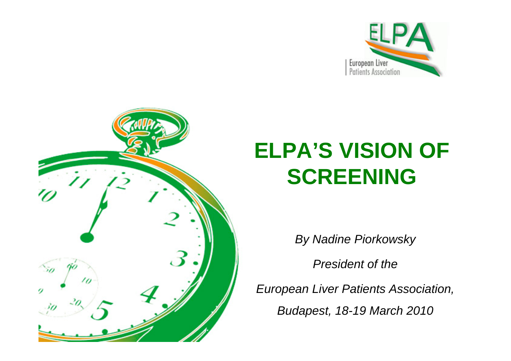



## **ELPA'S VISION OF SCREENING**

*By Nadine Piorkowsky* 

*President of the* 

*European Liver Patients Association,* 

*Budapest, 18-19 March 2010*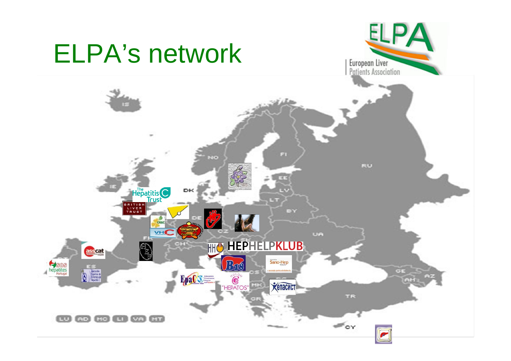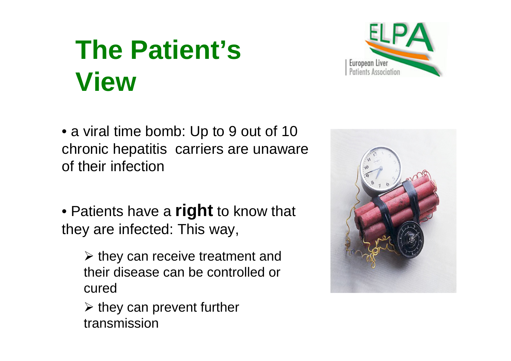# **The Patient's View**



• a viral time bomb: Up to 9 out of 10 chronic hepatitis carriers are unaware of their infection

• Patients have a **right** to know that they are infected: This way,

 $\triangleright$  they can receive treatment and their disease can be controlled or cured

 $\triangleright$  they can prevent further transmission

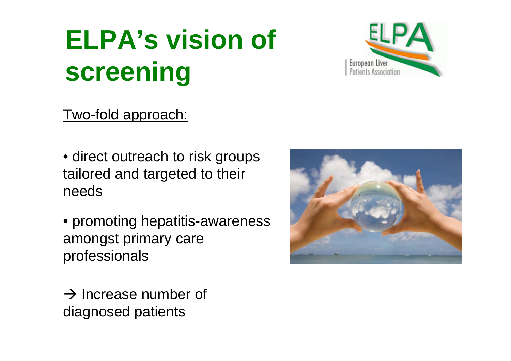# **ELPA's vision of screening**

## Two-fold approach:

- direct outreach to risk groups tailored and targeted to their needs
- promoting hepatitis-awareness amongst primary care professionals
- $\rightarrow$  Increase number of diagnosed patients



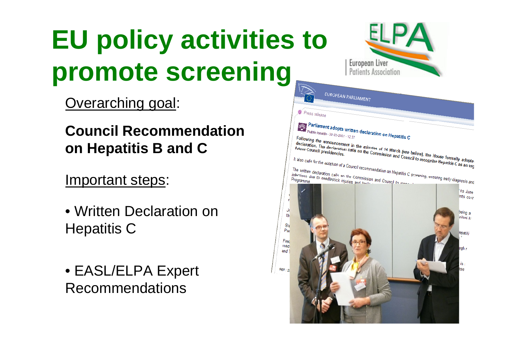# **EU policy activities to promote screening**

Overarching goal:

## **Council Recommendation on Hepatitis B and C**

## Important steps:

- Written Declaration on Hepatitis C
- EASL/ELPA Expert Recommendations

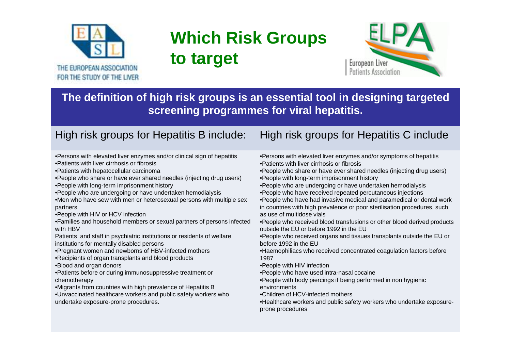

## **Which Risk Groups to target**



**The definition of high risk groups is an essential tool in designing targeted screening programmes for viral hepatitis.** 

- •Persons with elevated liver enzymes and/or clinical sign of hepatitis
- •Patients with liver cirrhosis or fibrosis
- •Patients with hepatocellular carcinoma
- •People who share or have ever shared needles (injecting drug users)
- •People with long-term imprisonment history
- •People who are undergoing or have undertaken hemodialysis
- •Men who have sew with men or heterosexual persons with multiple sex partners
- •People with HIV or HCV infection
- •Families and household members or sexual partners of persons infected with HBV
- Patients and staff in psychiatric institutions or residents of welfare institutions for mentally disabled persons
- •Pregnant women and newborns of HBV-infected mothers
- •Recipients of organ transplants and blood products
- •Blood and organ donors
- •Patients before or during immunosuppressive treatment or chemotherapy
- •Migrants from countries with high prevalence of Hepatitis B
- •Unvaccinated healthcare workers and public safety workers who undertake exposure-prone procedures.

#### High risk groups for Hepatitis B include: High risk groups for Hepatitis C include

- •Persons with elevated liver enzymes and/or symptoms of hepatitis •Patients with liver cirrhosis or fibrosis
- •People who share or have ever shared needles (injecting drug users) •People with long-term imprisonment history
- •People who are undergoing or have undertaken hemodialysis
- •People who have received repeated percutaneous injections
- •People who have had invasive medical and paramedical or dental work in countries with high prevalence or poor sterilisation procedures, such as use of multidose vials
- •People who received blood transfusions or other blood derived products outside the EU or before 1992 in the EU
- •People who received organs and tissues transplants outside the EU or before 1992 in the EU
- •Haemophiliacs who received concentrated coagulation factors before 1987
- •People with HIV infection
- •People who have used intra-nasal cocaine
- •People with body piercings if being performed in non hygienic environments
- •Children of HCV-infected mothers
- •Healthcare workers and public safety workers who undertake exposureprone procedures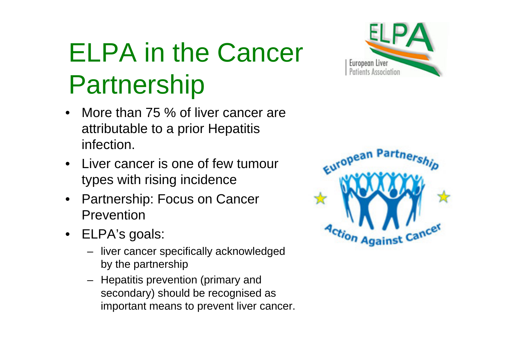# ELPA in the Cancer Partnership

- • More than 75 % of liver cancer are attributable to a prior Hepatitis infection.
- Liver cancer is one of few tumour types with rising incidence
- • Partnership: Focus on Cancer Prevention
- ELPA's goals:
	- liver cancer specifically acknowledged by the partnership
	- Hepatitis prevention (primary and secondary) should be recognised as important means to prevent liver cancer.



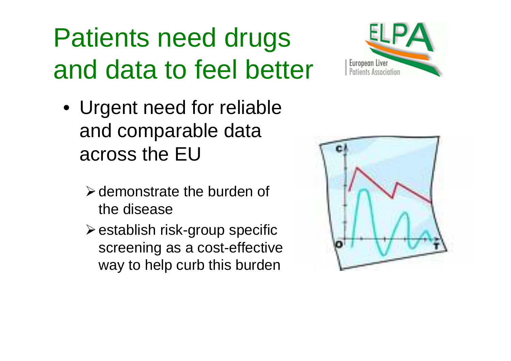# Patients need drugs and data to feel better



- Urgent need for reliable and comparable data across the EU
	- $\triangleright$  demonstrate the burden of the disease
	- $\triangleright$  establish risk-group specific screening as a cost-effective way to help curb this burden